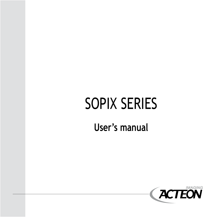# SOPIX SERIES

### **User's manual**

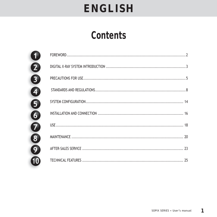### **Contents**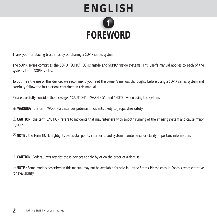

Thank you for placing trust in us by purchasing a SOPIX series system.

The SOPIX series comprises the SOPIX, SOPIX², SOPIX inside and SOPIX² inside systems. This user's manual applies to each of the systems in the SOPIX series.

To optimise the use of this device, we recommend you read the owner's manual thoroughly before using a SOPIX series system and carefully follow the instructions contained in this manual.

Please carefully consider the messages "CAUTION", "WARNING", and "NOTE" when using the system.

 **WARNING**: the term WARNING describes potential incidents likely to jeopardize safety.

! **CAUTION**: the term CAUTION refers to incidents that may interfere with smooth running of the imaging system and cause minor injuries.

 **NOTE** : the term NOTE highlights particular points in order to aid system maintenance or clarify important information.

! **CAUTION**: Federal laws restrict these devices to sale by or on the order of a dentist.

 **NOTE** : Some models described in this manual may not be available for sale in United States.Please consult Sopro's representative for availability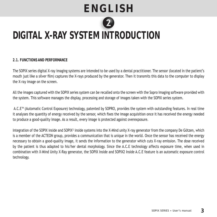

### **DIGITAL X-RAY SYSTEM INTRODUCTION M INTR**

#### **2.1. FUNCTIONS AND PERFORMANCE**

The SOPIX series digital X-ray imaging systems are intended to be used by a dental practitioner. The sensor (located in the patient's mouth just like a silver film) captures the X-rays produced by the generator. Then it transmits this data to the computer to display the X-ray image on the screen.

All the images captured with the SOPIX series system can be recalled onto the screen with the Sopro Imaging software provided with the system. This software manages the display, processing and storage of images taken with the SOPIX series system.

 A.C.E™ (Automatic Control Exposure) technology, patented by SOPRO, provides the system with outstanding features. In real time it analyses the quantity of energy received by the sensor, which fixes the image acquisition once it has received the energy needed to produce a good-quality image. As a result, every image is protected against overexposure.

Integration of the SOPIX inside and SOPIX² inside systems into the X-Mind unity X-ray generator from the company De Götzen, which is a member of the ACTEON group, provides a communication that is unique in the world. Once the sensor has received the energy necessary to obtain a good-quality image, it sends the information to the generator which cuts X-ray emission. The dose received by the patient is thus adapted to his/her dental morphology. Since the A.C.E technology affects exposure time, when used in combination with X-Mind Unity X-Ray generator, the SOPIX Inside and SOPIX2 Inside A.C.E feature is an automatic exposure control technology.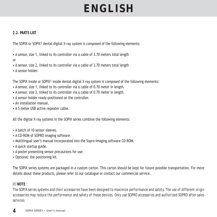#### **2.2. PARTS LIST**

The SOPIX or SOPIX<sup>2</sup> dental digital X-ray system is composed of the following elements:

• A sensor, size 1, linked to its controller via a cable of 3.70 meters total length

or

- A sensor, size 2, linked to its controller via a cable of 3.70 meters total length
- A sensor holder.

The SOPIX inside or SOPIX² inside dental digital X-ray system is composed of the following elements:

- A sensor, size 1, linked to its controller via a cable of 0.70 meter in length.
- A sensor, size 2, linked to its controller via a cable of 0.70 meter in length.
- A sensor holder ready-positioned on the controller.
- An installation manual.
- A 5 meter USB active repeater cable.

All the digital X-ray systems in the SOPIX series combine the following elements:

- A batch of 10 sensor sleeves.
- A CD-ROM of SOPRO Imaging software.
- Multilingual user's manual incorporated into the Sopro-Imaging software CD-ROM.
- A quick startup guide.
- A poster presenting sensor precautions for use.
- Optional: the positioning kit.

The SOPIX series systems are packaged in a custom carton. This carton should be kept for future possible transportation. For more details about these products, please refer to our catalogue or contact our commercial service.

#### **NOTE** :

*The SOPIX series systems and their accessories have been designed to maximize performance and safety. The use of different origin accessories may reduce the performance and safety of these devices. Only use SOPRO accessories and authorized SOPRO after-sales services.*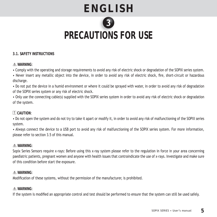# **PRECAUTIONS FOR USE TIONS**

#### **3.1. SAFETY INSTRUCTIONS**

#### **WARNING**:

• Comply with the operating and storage requirements to avoid any risk of electric shock or degradation of the SOPIX series system.

• Never insert any metallic object into the device, in order to avoid any risk of electric shock, fire, short-circuit or hazardous discharge.

• Do not put the device in a humid environment or where it could be sprayed with water, in order to avoid any risk of degradation of the SOPIX series system or any risk of electric shock.

• Only use the connecting cable(s) supplied with the SOPIX series system in order to avoid any risk of electric shock or degradation of the system.

#### ! **CAUTION**:

• Do not open the system and do not try to take it apart or modify it, in order to avoid any risk of malfunctioning of the SOPIX series system.

• Always connect the device to a USB port to avoid any risk of malfunctioning of the SOPIX series system. For more information, please refer to section 3.5 of this manual.

#### **WARNING**:

Sopix Series Sensors require x-rays: Before using this x-ray system please refer to the regulation in force in your area concerning paediatric patients, pregnant women and anyone with health issues that contraindicate the use of x-rays. Investigate and make sure of this condition before start the exposure.

#### **WARNING**:

Modification of these systems, without the permission of the manufacturer, is prohibited.

#### **WARNING**:

If the system is modified an appropriate control and test should be performed to ensure that the system can still be used safely.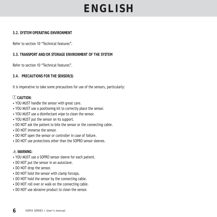#### **3.2. SYSTEM OPERATING ENVIRONMENT**

Refer to section 10 "Technical features".

#### **3.3. TRANSPORT AND/OR STORAGE ENVIRONMENT OF THE SYSTEM**

Refer to section 10 "Technical features".

**3.4. PRECAUTIONS FOR THE SENSOR(S)**

It is imperative to take some precautions for use of the sensors, particularly:

#### ! **CAUTION**:

- YOU MUST handle the sensor with great care.
- YOU MUST use a positioning kit to correctly place the sensor.
- YOU MUST use a disinfectant wipe to clean the sensor.
- YOU MUST put the sensor on its support.
- DO NOT ask the patient to bite the sensor or the connecting cable.
- DO NOT immerse the sensor.
- DO NOT open the sensor or controller in case of failure.
- DO NOT use protections other than the SOPRO sensor sleeves.

#### **WARNING**:

- YOU MUST use a SOPRO sensor sleeve for each patient.
- DO NOT put the sensor in an autoclave.
- DO NOT drop the sensor.
- DO NOT hold the sensor with clamp forceps.
- DO NOT hold the sensor by the connecting cable.
- DO NOT roll over or walk on the connecting cable.
- DO NOT use abrasive product to clean the sensor.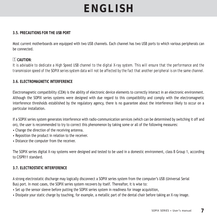#### **3.5. PRECAUTIONS FOR THE USB PORT**

Most current motherboards are equipped with two USB channels. Each channel has two USB ports to which various peripherals can be connected.

#### ! **CAUTION**:

*It is advisable to dedicate a High Speed USB channel to the digital X-ray system. This will ensure that the performance and the transmission speed of the SOPIX series system data will not be affected by the fact that another peripheral is on the same channel.*

#### **3.6. ELECTROMAGNETIC INTERFERENCE**

Electromagnetic compatibility (CEM) is the ability of electronic device elements to correctly interact in an electronic environment. Although the SOPIX series systems were designed with due regard to this compatibility and comply with the electromagnetic interference thresholds established by the regulatory agency, there is no guarantee about the interference likely to occur on a particular installation.

If a SOPIX series system generates interference with radio-communication services (which can be determined by switching it off and on), the user is recommended to try to correct this phenomenon by taking some or all of the following measures:

- Change the direction of the receiving antenna.
- Reposition the product in relation to the receiver.
- Distance the computer from the receiver.

The SOPIX series digital X-ray systems were designed and tested to be used in a domestic environment, class B Group 1, according to CISPR11 standard.

#### **3.7. ELECTROSTATIC INTERFERENCE**

A strong electrostatic discharge may logically disconnect a SOPIX series system from the computer's USB (Universal Serial Bus) port. In most cases, the SOPIX series system recovers by itself. Thereafter, it is wise to:

- Set up the sensor sleeve before putting the SOPIX series system in readiness for image acquisition,
- Dissipate your static charge by touching, for example, a metallic part of the dental chair before taking an X-ray image.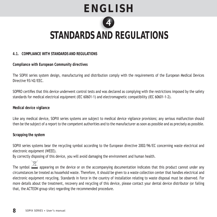

### **STANDARDS AND REGULATIONS AND**

#### **4.1. COMPLIANCE WITH STANDARDS AND REGULATIONS**

**Compliance with European Community directives** 

The SOPIX series system design, manufacturing and distribution comply with the requirements of the European Medical Devices Directive 93/42/FFC

SOPRO certifies that this device underwent control tests and was declared as complying with the restrictions imposed by the safety standards for medical electrical equipment (IEC 60601-1) and electromagnetic compatibility (IEC 60601-1-2).

#### **Medical device vigilance**

Like any medical device, SOPIX series systems are subject to medical device vigilance provisions; any serious malfunction should then be the subject of a report to the competent authorities and to the manufacturer as soon as possible and as precisely as possible.

#### **Scrapping the system**

SOPIX series systems bear the recycling symbol according to the European directive 2002/96/EC concerning waste electrical and electronic equipment (WEEE).

By correctly disposing of this device, you will avoid damaging the environment and human health.

The symbol  $\triangle$  appearing on the device or on the accompanying documentation indicates that this product cannot under any circumstances be treated as household waste. Therefore, it should be given to a waste collection center that handles electrical and electronic equipment recycling. Standards in force in the country of installation relating to waste disposal must be observed. For more details about the treatment, recovery and recycling of this device, please contact your dental device distributor (or failing that, the ACTEON group site) regarding the recommended procedure.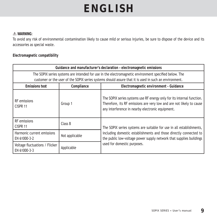#### **WARNING**:

To avoid any risk of environmental contamination likely to cause mild or serious injuries, be sure to dispose of the device and its accessories as special waste.

#### **Electromagnetic compatibility**

| Guidance and manufacturer's declaration - electromagnetic emissions                                                                                                                                             |                |                                                                                                                                                                                                    |  |  |
|-----------------------------------------------------------------------------------------------------------------------------------------------------------------------------------------------------------------|----------------|----------------------------------------------------------------------------------------------------------------------------------------------------------------------------------------------------|--|--|
| The SOPIX series systems are intended for use in the electromagnetic environment specified below. The<br>customer or the user of the SOPIX series systems should assure that it is used in such an environment. |                |                                                                                                                                                                                                    |  |  |
| <b>Emissions test</b>                                                                                                                                                                                           | Compliance     | Electromagnetic environment - Guidance                                                                                                                                                             |  |  |
| <b>RF</b> emissions<br>CISPR 11                                                                                                                                                                                 | Group 1        | The SOPIX series systems use RF energy only for its internal function.<br>Therefore, its RF emissions are very low and are not likely to cause<br>any interference in nearby electronic equipment. |  |  |
| <b>RF</b> emissions<br>CISPR 11                                                                                                                                                                                 | Class B        | The SOPIX series systems are suitable for use in all establishments,                                                                                                                               |  |  |
| Harmonic current emissions<br>EN 61000-3-2                                                                                                                                                                      | Not applicable | including domestic establishments and those directly connected to<br>the public low-voltage power supply network that supplies buildings                                                           |  |  |
| Voltage fluctuations / Flicker<br>EN 61000-3-3                                                                                                                                                                  | Applicable     | used for domestic purposes.                                                                                                                                                                        |  |  |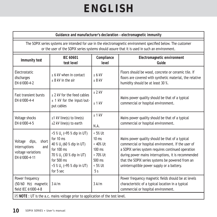**Guidance and manufacturer's declaration – electromagnetic immunity**

The SOPIX series systems are intended for use in the electromagnetic environment specified below. The customer or the user of the SOPIX series systems should assure that it is used in such an environment.

| Immunity test                                                                              | <b>IEC 60601</b><br>test level                                                                                                                                                                                               | Compliance<br>level                                                                               | Electromagnetic environment<br>Guide                                                                                                                                                                                                                                                                                 |  |
|--------------------------------------------------------------------------------------------|------------------------------------------------------------------------------------------------------------------------------------------------------------------------------------------------------------------------------|---------------------------------------------------------------------------------------------------|----------------------------------------------------------------------------------------------------------------------------------------------------------------------------------------------------------------------------------------------------------------------------------------------------------------------|--|
| Electrostatic<br>discharges<br>EN 61000-4-2                                                | ± 6 kV when in contact<br>$± 8$ kV in the air                                                                                                                                                                                | $± 6$ kV<br>$± 8$ kV                                                                              | Floors should be wood, concrete or ceramic tile. If<br>floors are covered with synthetic material, the relative<br>humidity should be at least 30 %.                                                                                                                                                                 |  |
| Fast transient bursts<br>EN 61000-4-4                                                      | + 2 kV for the feed cables<br>± 1 kV for the input/out-<br>put cables                                                                                                                                                        | $± 2$ kV<br>$± 1$ kV                                                                              | Mains power quality should be that of a typical<br>commercial or hospital environment.                                                                                                                                                                                                                               |  |
| Voltage shocks<br>EN 61000-4-5                                                             | $±1$ kV line(s) to line(s)<br>±2 kV line(s) to earth                                                                                                                                                                         | $± 1$ kV<br>N.A.                                                                                  | Mains power quality should be that of a typical<br>commercial or hospital environment.                                                                                                                                                                                                                               |  |
| short<br>Voltage<br>dips,<br>interruptions<br>and<br>voltage variations<br>EN 61000-4-11   | $<$ 5 % U <sub><math>&lt;</math></sub> (>95 % dip in UT)<br>for 10 ms<br>40 % $U_r$ (60 % dip in UT)<br>for $100$ ms<br>70 % $U_r$ (30 % dip in UT)<br>for $500$ ms<br>$<$ 5 % U <sub>r</sub> (>95 % dip in UT)<br>for 5 sec | $< 5\%$ Ut<br>$10 \text{ ms}$<br>$<$ 40% Ut<br>$100$ ms<br>$< 70\%$ Ut<br>500 ms<br>< 5% Ut<br>5s | Mains power quality should be that of a typical<br>commercial or hospital environment. If the user of<br>a SOPIX series system requires continued operation<br>during power mains interruptions, it is recommended<br>that the SOPIX series systems be powered from an<br>uninterruptible power supply or a battery. |  |
| Power frequency<br>(50/60 Hz) magnetic<br>field IEC 61000-4-8                              | 3A/m                                                                                                                                                                                                                         | 3A/m                                                                                              | Power frequency magnetic fields should be at levels<br>characteristic of a typical location in a typical<br>commercial or hospital environment.                                                                                                                                                                      |  |
| $\blacksquare$ NOTE : UT is the a.c. mains voltage prior to application of the test level. |                                                                                                                                                                                                                              |                                                                                                   |                                                                                                                                                                                                                                                                                                                      |  |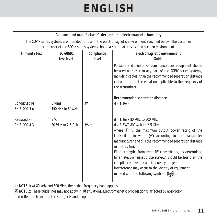| Guidance and manufacturer's declaration - electromagnetic immunity |                                                                                                                                                                                                                 |                     |                                                                                                                                                                                                                                                                                                                                                                                                                                                                                                                                                                                                |  |  |
|--------------------------------------------------------------------|-----------------------------------------------------------------------------------------------------------------------------------------------------------------------------------------------------------------|---------------------|------------------------------------------------------------------------------------------------------------------------------------------------------------------------------------------------------------------------------------------------------------------------------------------------------------------------------------------------------------------------------------------------------------------------------------------------------------------------------------------------------------------------------------------------------------------------------------------------|--|--|
|                                                                    | The SOPIX series systems are intended for use in the electromagnetic environment specified below. The customer<br>or the user of the SOPIX series systems should assure that it is used in such an environment. |                     |                                                                                                                                                                                                                                                                                                                                                                                                                                                                                                                                                                                                |  |  |
| Immunity test                                                      | <b>IEC 60601</b><br>test level                                                                                                                                                                                  | Compliance<br>level | Electromagnetic environment<br>Guide                                                                                                                                                                                                                                                                                                                                                                                                                                                                                                                                                           |  |  |
| <b>Conducted RF</b><br>EN 61000-4-6<br>Radiated RF<br>EN 61000-4-3 | 3 Vrms<br>150 kHz to 80 MHz<br>3 V/m<br>80 MHz to 2.5 GHz                                                                                                                                                       | 3V<br>3V/m          | Portable and mobile RF communications equipment should<br>be used no closer to any part of the SOPIX series systems,<br>including cables, than the recommended separation distance<br>calculated from the equation applicable to the frequency of<br>the transmitter.<br>Recommended separation distance<br>$d = 1.16$ /P<br>$d = 1.16$ /P 80 MHz to 800 MHz<br>d = 2.33/P 800 MHz to 2.5 GHz<br>where $P$ is the maximum output power rating of the<br>transmitter in watts (W) according to the transmitter<br>manufacturer and $d$ is the recommended separation distance<br>in metres (m). |  |  |
|                                                                    |                                                                                                                                                                                                                 |                     | Field strengths from fixed RF transmitters, as determined<br>by an electromagnetic site survey, <sup>a</sup> should be less than the<br>compliance level in each frequency range. <sup>b</sup><br>Interference may occur in the vicinity of equipment<br>marked with the following symbol: $((\cdot, \cdot))$                                                                                                                                                                                                                                                                                  |  |  |
|                                                                    |                                                                                                                                                                                                                 |                     |                                                                                                                                                                                                                                                                                                                                                                                                                                                                                                                                                                                                |  |  |

 **NOTE** 1**:** At 80 MHz and 800 MHz, the higher frequency band applies.

 **NOTE** 2: These guidelines may not apply in all situations. Electromagnetic propagation is affected by absorption and reflection from structures, objects and people.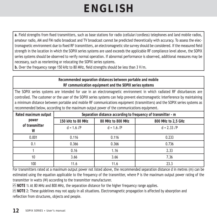a. Field strengths from fixed transmitters, such as base stations for radio (cellular/cordless) telephones and land mobile radios, amateur radio, AM and FM radio broadcast and TV broadcast cannot be predicted theoretically with accuracy. To assess the electromagnetic environment due to fixed RF transmitters, an electromagnetic site survey should be considered. If the measured field strength in the location in which the SOPIX series systems are used exceeds the applicable RF compliance level above, the SOPIX series systems should be observed to verify normal operation. If abnormal performance is observed, additional measures may be necessary, such as reorienting or relocating the SOPIX series systems.

b. Over the frequency range 150 kHz to 80 MHz, field strengths should be less than 3 V/m.

**Recommended separation distances between portable and mobile RF communication equipment and the SOPIX series systems**

The SOPIX series systems are intended for use in an electromagnetic environment in which radiated RF disturbances are controlled. The customer or the user of the SOPIX series systems can help prevent electromagnetic interference by maintaining a minimum distance between portable and mobile RF communications equipment (transmitters) and the SOPIX series systems as recommended below, according to the maximum output power of the communications equipment.

| Rated maximum output | Separation distance according to frequency of transmitter - m |                   |                       |  |
|----------------------|---------------------------------------------------------------|-------------------|-----------------------|--|
| power                | 150 kHz to 80 MHz                                             | 80 MHz to 800 MHz | 800 MHz to 2,5 GHz    |  |
| of transmitter<br>W  | $d = 1.6$ $\sqrt{P}$                                          | $d = 1.6$ /P      | $d = 2.33$ $\sqrt{P}$ |  |
| 0.001                | 0.116                                                         | 0.116             | 0.233                 |  |
| 0.1                  | 0.366                                                         | 0.366             | 0.736                 |  |
|                      | 0.16                                                          | 1.16              | 2.33                  |  |
| 10                   | 3.66                                                          | 3.66              | 7.36                  |  |
| 100                  | 11.6                                                          | 11.6              | 23.3                  |  |

For transmitters rated at a maximum output power not listed above, the recommended separation distance d in metres (m) can be estimated using the equation applicable to the frequency of the transmitter, where P is the maximum output power rating of the transmitter in watts (W) according to the transmitter manufacturer.

 **NOTE** 1**:** At 80 MHz and 800 MHz, the separation distance for the higher frequency range applies.

 **NOTE** 2: These guidelines may not apply in all situations. Electromagnetic propagation is affected by absorption and reflection from structures, objects and people.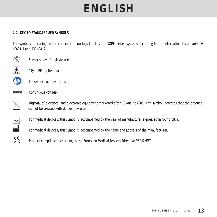#### **4.2. KEY TO STANDARDISED SYMBOLS**

The symbols appearing on the connection housings identify the SOPIX series systems according to the international standards IEC 60601-1 and IEC 60417.



Sensor sleeve for single use.



8

**木** "Type BF applied part".





**EXECUTE:** Continuous voltage.

 Disposal of electrical and electronic equipment marketed after 13 August 2005. This symbol indicates that the product  $\overline{\mathbb{X}}$  Disposal of electrical and electronic equal position cannot be treated with domestic waste.

For medical devices, this symbol is accompanied by the year of manufacture (expressed in four digits).<br>For medical devices this symbol is accompanied by the name and address of the manufacturer

For medical devices, this symbol is accompanied by the name and address of the manufacturer.

CE<br>0459 Product compliance according to the European Medical Devices Directive 93/42/EEC.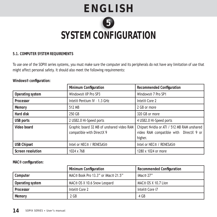### **ENGLISH** 5 **SYSTEM CONFIGURATION ONFI**

#### **5.1. COMPUTER SYSTEM REQUIREMENTS**

To use one of the SOPIX series systems, you must make sure the computer and its peripherals do not have any limitation of use that might affect personal safety. It should also meet the following requirements:

Windows<sup>®</sup> configuration:

|                    | Minimum Configuration                                                  | Recommended Configuration                                                                        |
|--------------------|------------------------------------------------------------------------|--------------------------------------------------------------------------------------------------|
| Operating system   | Windows® XP Pro SP3                                                    | Windows® 7 Pro SP1                                                                               |
| Processor          | Intel® Pentium IV - 1.3 GHz                                            | Intel® Core 2                                                                                    |
| Memory             | 512 MB                                                                 | 2 GB or more                                                                                     |
| Hard disk          | 250 GB                                                                 | 320 GB or more                                                                                   |
| USB ports          | 2 USB2.0 Hi-Speed ports                                                | 4 USB2.0 Hi-Speed ports                                                                          |
| Video board        | Graphic board 32 MB of unshared video RAM<br>compatible with DirectX 9 | Chipset Nvidia or ATI / 512 MB RAM unshared<br>video RAM compatible with DirectX 9 or<br>higher. |
| <b>USB Chipset</b> | Intel or NEC® / RENESAS®                                               | Intel or NEC® / RENESAS®                                                                         |
| Screen resolution  | $1024 \times 768$                                                      | 1280 x 1024 or more                                                                              |

**MAC® confi guration:**

|                  | Minimum Configuration              | <b>Recommended Configuration</b> |
|------------------|------------------------------------|----------------------------------|
| Computer         | MAC® Book Pro 13.3" or iMac® 21.5" | iMac® 27"                        |
| Operating system | MAC® OS X 10.6 Snow Leopard        | MAC® OS X 10.7 Lion              |
| Processor        | Intel® Core 2                      | Intel® Core i7                   |
| Memory           | 2 GB                               | 4 GB                             |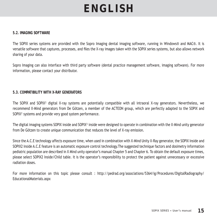#### **5.2. IMAGING SOFTWARE**

The SOPIX series systems are provided with the Sopro Imaging dental imaging software, running in Windows® and MAC®. It is versatile software that captures, processes, and files the X-ray images taken with the SOPIX series systems, but also allows network sharing of your data.

Sopro Imaging can also interface with third party software (dental practice management software, imaging software). For more information, please contact your distributor.

#### **5.3. COMPATIBILITY WITH X-RAY GENERATORS**

The SOPIX and SOPIX<sup>2</sup> digital X-ray systems are potentially compatible with all intraoral X-ray generators. Nevertheless, we recommend X-Mind generators from De Götzen, a member of the ACTEON group, which are perfectly adapted to the SOPIX and SOPIX² systems and provide very good system performance.

The digital imaging systems SOPIX inside and SOPIX² inside were designed to operate in combination with the X-Mind unity generator from De Götzen to create unique communication that reduces the level of X-ray emission.

Since the A.C.E technology affects exposure time, when used in combination with X-Mind Unity X-Ray generator, the SOPIX Inside and SOPIX2 Inside A.C.E feature is an automatic exposure control technology.The suggested technique factors and dosimetry information pediatric population are described in X Mind unity operator's manual Chapter 5 and Chapter 6. To obtain the default exposure times, please select SOPIX2 Inside/Child table. It is the operator's responsibility to protect the patient against unnecessary or excessive radiation doses.

For more information on this topic please consult : http://pedrad.org/associations/5364/ig/Procedures/DigitalRadiography/ EducationalMaterials.aspx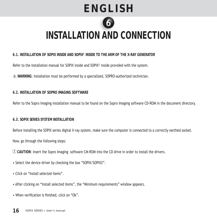

### **INSTALLATION AND CONNECTION**

#### **6.1. INSTALLATION OF SOPIX INSIDE AND SOPIX² INSIDE TO THE ARM OF THE X-RAY GENERATOR**

Refer to the installation manual for SOPIX inside and SOPIX<sup>2</sup> inside provided with the system.

 **WARNING**: Installation must be performed by a specialized, SOPRO-authorized technician.

#### **6.2. INSTALLATION OF SOPRO IMAGING SOFTWARE**

Refer to the Sopro Imaging installation manual to be found on the Sopro Imaging software CD-ROM in the document directory.

#### **6.3. SOPIX SERIES SYSTEM INSTALLATION**

Before installing the SOPIX series digital X-ray system, make sure the computer is connected to a correctly earthed socket. Now, go through the following steps:

! **CAUTION**: Insert the Sopro Imaging software CM-ROM into the CD drive in order to install the drivers.

- Select the device driver by checking the box "SOPIX/SOPIX2".
- Click on "Install selected items".
- After clicking on "Install selected items", the "Minimum requirements" window appears.
- When verification is finished, click on "Ok".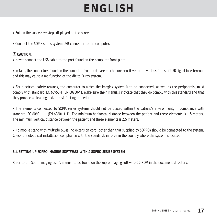• Follow the successive steps displayed on the screen.

• Connect the SOPIX series system USB connector to the computer.

#### ! **CAUTION**:

• Never connect the USB cable to the port found on the computer front plate.

• In fact, the connectors found on the computer front plate are much more sensitive to the various forms of USB signal interference and this may cause a malfunction of the digital X-ray system.

• For electrical safety reasons, the computer to which the imaging system is to be connected, as well as the peripherals, must comply with standard IEC 60950-1 (EN 60950-1). Make sure their manuals indicate that they do comply with this standard and that they provide a cleaning and/or disinfecting procedure.

• The elements connected to SOPIX series systems should not be placed within the patient's environment, in compliance with standard IEC 60601-1-1 (EN 60601-1-1). The minimum horizontal distance between the patient and these elements is 1.5 meters. The minimum vertical distance between the patient and these elements is 2.5 meters.

• No mobile stand with multiple plugs, no extension cord (other than that supplied by SOPRO) should be connected to the system. Check the electrical installation compliance with the standards in force in the country where the system is located.

#### **6.4 SETTING UP SOPRO IMAGING SOFTWARE WITH A SOPRO SERIES SYSTEM**

Refer to the Sopro Imaging user's manual to be found on the Sopro Imaging software CD-ROM in the document directory.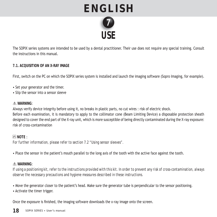

The SOPIX series systems are intended to be used by a dental practitioner. Their use does not require any special training. Consult the instructions in this manual.

#### **7.1. ACQUISITION OF AN X-RAY IMAGE**

First, switch on the PC on which the SOPIX series system is installed and launch the imaging software (Sopro Imaging, for example).

- Set your generator and the timer.
- Slip the sensor into a sensor sleeve

#### **WARNING**:

Always verify device integrity before using it, no breaks in plastic parts, no cut wires : risk of electric shock. Before each examination, it is mandatory to apply to the collimator cone (Beam Limiting Device) a disposable protection sheath designed to cover the end part of the X-ray unit, which is more susceptible of being directly contaminated during the X-ray exposure: risk of cross-contamination

#### **NOTE** :

*For further information, please refer to section 7.2 "Using sensor sleeves".*

• Place the sensor in the patient's mouth parallel to the long axis of the tooth with the active face against the tooth.

#### **WARNING**:

*If using a positioning kit, refer to the instructions provided with this kit. In order to prevent any risk of cross-contamination, always observe the necessary precautions and hygiene measures described in these instructions.*

• Move the generator closer to the patient's head. Make sure the generator tube is perpendicular to the sensor positioning.

• Activate the timer trigger.

Once the exposure is finished, the imaging software downloads the x-ray image onto the screen.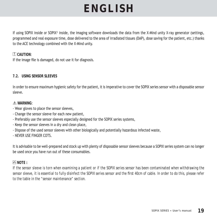If using SOPIX inside or SOPIX<sup>2</sup> inside, the imaging software downloads the data from the X-Mind unity X-ray generator (settings, programmed and real exposure time, dose delivered to the area of irradiated tissues (DAP), dose saving for the patient, etc.) thanks to the ACE technology combined with the X-Mind unity.

#### ! **CAUTION**:

If the image file is damaged, do not use it for diagnosis.

#### **7.2. USING SENSOR SLEEVES**

In order to ensure maximum hygienic safety for the patient, it is imperative to cover the SOPIX series sensor with a disposable sensor sleeve.

#### **WARNING**:

- Wear gloves to place the sensor sleeves,
- Change the sensor sleeve for each new patient,
- Preferably use the sensor sleeves especially designed for the SOPIX series systems,
- Keep the sensor sleeves in a dry and clean place,
- Dispose of the used sensor sleeves with other biologically and potentially hazardous infected waste,
- NEVER USE FINGER COTS.

It is advisable to be well-prepared and stock up with plenty of disposable sensor sleeves because a SOPIX series system can no longer be used once you have run out of these consumables.

#### **NOTE :**

*If the sensor sleeve is torn when examining a patient or if the SOPIX series sensor has been contaminated when withdrawing the*  sensor sleeve, it is essential to fully disinfect the SOPIX series sensor and the first 40cm of cable. In order to do this, please refer *to the table in the "sensor maintenance" section.*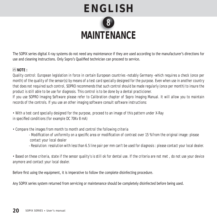

The SOPIX series digital X-ray systems do not need any maintenance if they are used according to the manufacturer's directions for use and cleaning instructions. Only Sopro's Qualified technician can proceed to service.

#### **NOTE :**

*Quality control: European legislation in force in certain European countries -notably Germany -which requires a check (once per month) of the quality of the sensor(s) by means of a test card specially designed for the purpose. Even when use in another country that does not required such control, SOPRO recommends that such control should be made regularly (once per month) to insure the product is still able to be use for diagnosis. This control is to be done by a dental practicioner. If you use SOPRO lmaging Software please refer to Calibration chapter of Sopro lmaging Manual. It will allow you to maintain records of the controls. If you use an other imaging software consult software instructions:*

*• With a test card specially designed for the purpose, proceed to an image of this pattern under X-Ray in specified conditions (for example DC 70Kv 8 mA)* 

*• Compare the images from month to month and control the following criteria* 

- *Modifi cation of uniformity on a specifi c area or modifi cation of contrast over 15 % from the original image: please contact your local dealer*
- *Resolution: resolution with less than 6.5 line pair per mm can't be used for diagnosis : please contact your local dealer.*

*• Based on these criteria, state if the sensor quality's is still ok for dental use. If the criteria are not met , do not use your device anymore and contact your local dealer.*

Before first using the equipment, it is imperative to follow the complete disinfecting procedure.

Any SOPIX series system returned from servicing or maintenance should be completely disinfected before being used.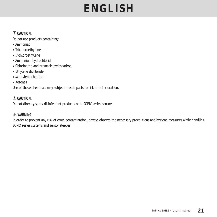#### ! **CAUTION**:

Do not use products containing:

- Ammoniac
- Trichloroethylene
- Dichloroethylene
- Ammonium hydrochlorid
- Chlorinated and aromatic hydrocarbon
- Ethylene dichloride
- Methylene chloride
- Ketones

Use of these chemicals may subject plastic parts to risk of deterioration.

#### ! **CAUTION**: Do not directly spray disinfectant products onto SOPIX series sensors.

#### **WARNING**:

In order to prevent any risk of cross-contamination, always observe the necessary precautions and hygiene measures while handling SOPIX series systems and sensor sleeves.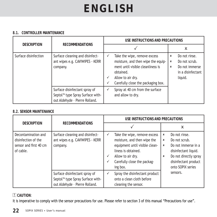#### **8.1. CONTROLLER MAINTENANCE**

|                      |                                                                                                                 | USE INSTRUCTIONS AND PRECAUTIONS                                                                                                                                                |                                     |                                                                                  |
|----------------------|-----------------------------------------------------------------------------------------------------------------|---------------------------------------------------------------------------------------------------------------------------------------------------------------------------------|-------------------------------------|----------------------------------------------------------------------------------|
| <b>DESCRIPTION</b>   | <b>RECOMMENDATIONS</b>                                                                                          |                                                                                                                                                                                 |                                     | x                                                                                |
| Surface disinfection | Surface cleaning and disinfect-<br>ant wipes e.g. CAVIWIPES - KERR<br>company.                                  | Take the wipe, remove excess<br>moisture, and then wipe the equip-<br>ment until visible cleanliness is<br>obtained.<br>Allow to air dry.<br>Carefully close the packaging box. | ×<br>x<br>$\boldsymbol{\mathsf{x}}$ | Do not rinse.<br>Do not scrub.<br>Do not immerse<br>in a disinfectant<br>liquid. |
|                      | Surface disinfectant spray of<br>Septol <sup>™</sup> type Spray Surface with-<br>out Aldehyde - Pierre Rolland. | Spray at 40 cm from the surface<br>and allow to dry.                                                                                                                            |                                     |                                                                                  |

#### **8.2. SENSOR MAINTENANCE**

|                                                                                   |                                                                                                                 | USE INSTRUCTIONS AND PRECAUTIONS                                                                                                                                                               |                                                                                                                                                                                                              |  |
|-----------------------------------------------------------------------------------|-----------------------------------------------------------------------------------------------------------------|------------------------------------------------------------------------------------------------------------------------------------------------------------------------------------------------|--------------------------------------------------------------------------------------------------------------------------------------------------------------------------------------------------------------|--|
| <b>DESCRIPTION</b>                                                                | <b>RECOMMENDATIONS</b>                                                                                          |                                                                                                                                                                                                | x                                                                                                                                                                                                            |  |
| Decontamination and<br>disinfection of the<br>sensor and first 40 cm<br>of cable. | Surface cleaning and disinfect-<br>ant wipes e.g. CAVIWIPES - KERR<br>company.                                  | Take the wipe, remove excess<br>✓<br>moisture, and then wipe the<br>equipment until visible clean-<br>liness is obtained.<br>Allow to air dry.<br>✓<br>Carefully close the packag-<br>ing box. | Do not rinse.<br>x<br>Do not scrub.<br>$\boldsymbol{\mathsf{x}}$<br>Do not immerse in a<br>$\pmb{\times}$<br>disinfectant liquid.<br>Do not directly spray<br>x<br>disinfectant product<br>onto SOPIX series |  |
|                                                                                   | Surface disinfectant spray of<br>Septol <sup>™</sup> type Spray Surface with-<br>out Aldehyde - Pierre Rolland. | Spray the disinfectant product<br>✓<br>onto a clean cloth before<br>cleaning the sensor.                                                                                                       | sensors.                                                                                                                                                                                                     |  |

#### ! **CAUTION**:

It is imperative to comply with the sensor precautions for use. Please refer to section 3 of this manual "Precautions for use".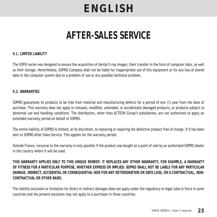### **AFTER-SALES SERVICE**

#### **9.1. LIMITED LIABILITY**

The SOPIX series was designed to ensure the acquisition of dental X-ray images, their transfer in the form of computer data, as well as their storage. Nevertheless, SOPRO Company shall not be liable for inappropriate use of this equipment or for any loss of stored data in the computer system due to a problem of use or any possible technical problem.

#### **9.2. WARRANTIES**

SOPRO guarantees its products to be free from material and manufacturing defects for a period of one (1) year from the date of purchase. This warranty does not apply to misused, modified, untended, or accidentally damaged products, or products subject to abnormal use and handling conditions. The distributors, other than ACTEON Group's subsidiaries, are not authorized to apply an extended warranty period on behalf of SOPRO.

The entire liability of SOPRO is limited, at its discretion, to replacing or repairing the defective product free of charge, if it has been sent to SOPRO After-Sales Service. This applies for the warranty period.

Outside France, recourse to the warranty is only possible if the product was bought at a point of sale by an authorized SOPRO dealer in the country where it will be used.

**THIS WARRANTY APPLIES ONLY TO THIS UNIQUE REMEDY. IT REPLACES ANY OTHER WARRANTY, FOR EXAMPLE, A WARRANTY OF FITNESS FOR A PARTICULAR PURPOSE, WHETHER EXPRESS OR IMPLIED. SOPRO SHALL NOT BE LIABLE FOR ANY PARTICULAR DAMAGE, INDIRECT, ACCIDENTAL OR CONSEQUENTIAL NOR FOR ANY DETERIORATION OR DATA LOSS, ON A CONTRACTUAL, NON-CONTRACTUAL OR OTHER BASIS.**

The liability exclusion or limitation for direct or indirect damages does not apply under the regulatory or legal rules in force in some countries and the present exclusion may not apply to a purchaser in those countries.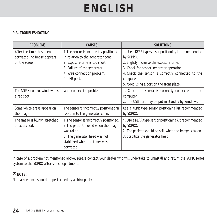#### **9.3. TROUBLESHOOTING**

| <b>PROBLEMS</b>                                                           | <b>CAUSES</b>                                                                                                                                                                                  | <b>SOLUTIONS</b>                                                                                                                                                                                                                                                         |
|---------------------------------------------------------------------------|------------------------------------------------------------------------------------------------------------------------------------------------------------------------------------------------|--------------------------------------------------------------------------------------------------------------------------------------------------------------------------------------------------------------------------------------------------------------------------|
| After the timer has been<br>activated, no image appears<br>on the screen. | 1. The sensor is incorrectly positioned<br>in relation to the generator cone.<br>2. Exposure time is too short.<br>3. Failure of the generator.<br>4. Wire connection problem.<br>5. USB port. | 1. Use a KERR type sensor positioning kit recommended<br>by SOPRO.<br>2. Slightly increase the exposure time.<br>3. Check for proper generator operation.<br>4. Check the sensor is correctly connected to the<br>computer.<br>5. Avoid using a port on the front plate. |
| The SOPIX control window has<br>a red spot.                               | Wire connection problem.                                                                                                                                                                       | 1. Check the sensor is correctly connected to the<br>computer.<br>2. The USB port may be put in standby by Windows.                                                                                                                                                      |
| Some white areas appear on<br>the image.                                  | The sensor is incorrectly positioned in<br>relation to the generator cone.                                                                                                                     | Use a KERR type sensor positioning kit recommended<br>by SOPRO.                                                                                                                                                                                                          |
| The image is blurry, stretched<br>or scratched.                           | 1. The sensor is incorrectly positioned.<br>2. The patient moved when the image<br>was taken.<br>3. The generator head was not<br>stabilized when the timer was<br>activated.                  | 1. Use a KERR type sensor positioning kit recommended<br>by SOPRO.<br>2. The patient should be still when the image is taken.<br>3. Stabilize the generator head.                                                                                                        |

In case of a problem not mentioned above, please contact your dealer who will undertake to uninstall and return the SOPIX series system to the SOPRO after-sales department.

#### **NOTE :**

*No maintenance should be performed by a third party.*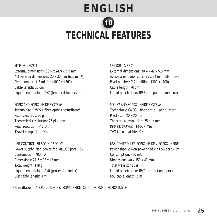# **ENGLISH TECHNICAL FEATURES CAL F**

SENSOR - SIZE 1 External dimensions: 38.9 x 24.9 x 5.3 mm Active area dimensions: 20 x 30 mm (600 mm²) Pixel number: 1.5 million (1000 x 1500) Cable length: 70 cm Liquid penetration: IP67 (temporal immersion)

SOPIX AND SOPIX INSIDE SYSTEMS Technology: CMOS + fiber-optic + scintillator\* Pixel size: 20 x 20 μm Theoretical resolution: 25 pl / mm Real resolution: >12 pl / mm TWAIN-compatible: Yes

USB CONTROLLER SOPIX / SOPIX2 Power supply: Non-power-fed via USB port / 5V Consumption: 400 mA Dimensions: 27.5 x 98 x 13 mm Total weight: 118 g Liquid penetration: IPX0 (protection index) USB cable length: 3 m

SENSOR - SIZE 2 External dimensions: 30.4 x 42 x 5.3 mm Active area dimensions: 26 x 34 mm (884 mm²) Pixel number: 2.21 million (1300 x 1700) Cable length: 70 cm Liquid penetration: IP67 (temporal immersion)

SOPIX2 AND SOPIX2 INSIDE SYSTEMS Technology: CMOS + fiber-optic + scintillator\* Pixel size: 20 x 20 μm Theoretical resolution: 25 pl / mm Real resolution: >18 pl / mm TWAIN-compatible: Yes

USB CONTROLLER SOPIX INSIDE / SOPIX2 INSIDE Power supply: Non-power-fed via USB port / 5V Consumption: 400 mA Dimensions: 40 x 150 x 40 mm Total weight: 180 g Liquid penetration: IPX0 (protection index) USB cable length: 5 m

*\* Scintillator: GADOX for SOPIX & SOPIX INSIDE, CSI for SOPIX² & SOPIX² INSIDE.*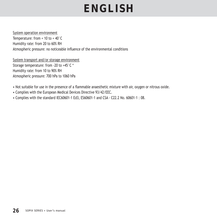#### System operation environment

Temperature: from + 10 to + 40°C Humidity rate: from 20 to 60% RH Atmospheric pressure: no noticeable influence of the environmental conditions

System transport and/or storage environment Storage temperature: from -20 to +45°C \* Humidity rate: from 10 to 90% RH Atmospheric pressure: 700 hPa to 1060 hPa

- Not suitable for use in the presence of a flammable anaesthetic mixture with air, oxygen or nitrous oxide.
- Complies with the European Medical Devices Directive 93/42/EEC.
- Complies with the standard IEC60601-1 Ed3, ES60601-1 and CSA C22.2 No. 60601-1 : 08.